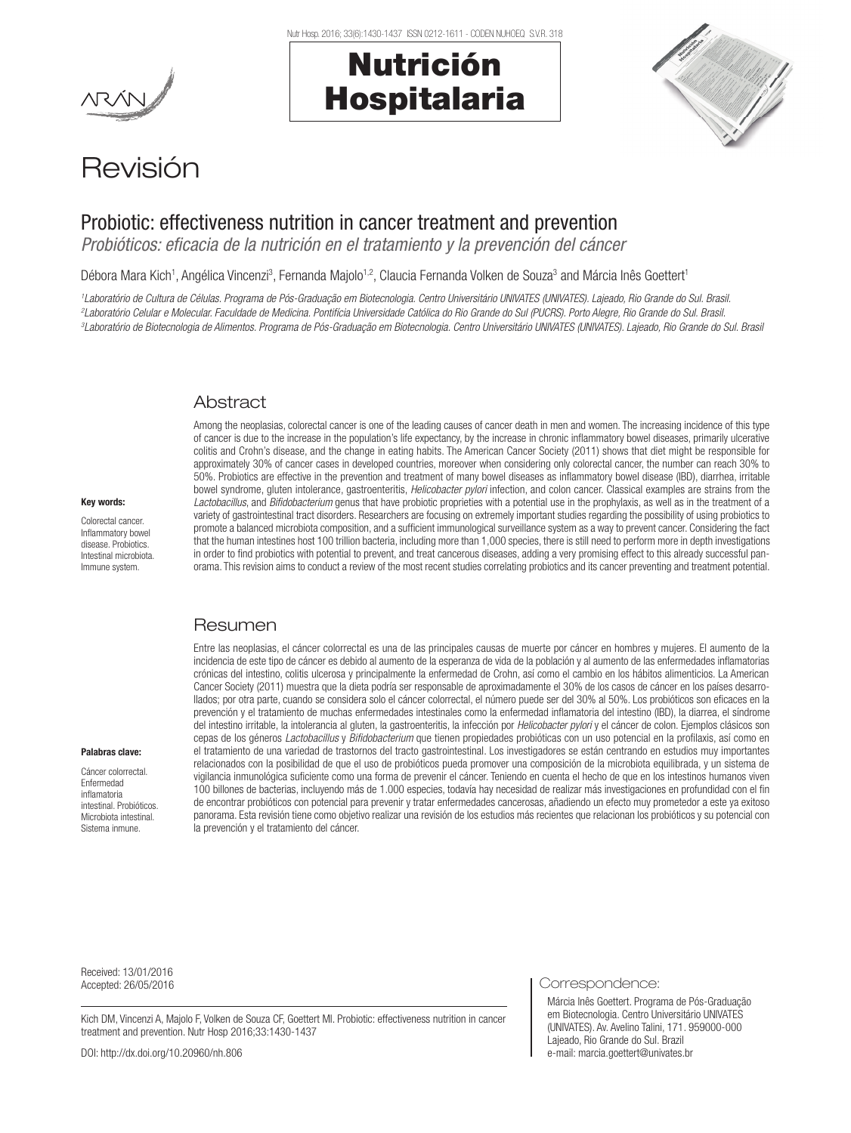Nutr Hosp. 2016; 33(6):1430-1437 ISSN 0212-1611 - CODEN NUHOEQ S.V.R. 318

# Nutrición Hospitalaria



## Revisión

### Probiotic: effectiveness nutrition in cancer treatment and prevention

*Probióticos: eficacia de la nutrición en el tratamiento y la prevención del cáncer* 

Débora Mara Kich<sup>1</sup>, Angélica Vincenzi<sup>3</sup>, Fernanda Majolo<sup>1,2</sup>, Claucia Fernanda Volken de Souza<sup>3</sup> and Márcia Inês Goettert<sup>1</sup>

<sup>1</sup>Laboratório de Cultura de Células. Programa de Pós-Graduação em Biotecnologia. Centro Universitário UNIVATES (UNIVATES). Lajeado, Rio Grande do Sul. Brasil. <sup>2</sup>Laboratório Celular e Molecular. Faculdade de Medicina. Pontifícia Universidade Católica do Rio Grande No Sul. <del>Draside do Sul. Brasil.</del> Porto Alegre, Rio Grande do Sul. Brasil. <sup>3</sup>Laboratório de Biotecnologia de Alimentos. Programa de Pós-Graduação em Biotecnologia. Centro Universitário UNIVATES (UNIVATES). Lajeado, Rio Grande do Sul. Brasi

#### **Abstract**

Among the neoplasias, colorectal cancer is one of the leading causes of cancer death in men and women. The increasing incidence of this type of cancer is due to the increase in the population's life expectancy, by the increase in chronic inflammatory bowel diseases, primarily ulcerative colitis and Crohn's disease, and the change in eating habits. The American Cancer Society (2011) shows that diet might be responsible for approximately 30% of cancer cases in developed countries, moreover when considering only colorectal cancer, the number can reach 30% to 50%. Probiotics are effective in the prevention and treatment of many bowel diseases as inflammatory bowel disease (IBD), diarrhea, irritable bowel syndrome, gluten intolerance, gastroenteritis, *Helicobacter pylori* infection, and colon cancer. Classical examples are strains from the Lactobacillus, and *Bifidobacterium* genus that have probiotic proprieties with a potential use in the prophylaxis, as well as in the treatment of a variety of gastrointestinal tract disorders. Researchers are focusing on extremely important studies regarding the possibility of using probiotics to promote a balanced microbiota composition, and a sufficient immunological surveillance system as a way to prevent cancer. Considering the fact that the human intestines host 100 trillion bacteria, including more than 1,000 species, there is still need to perform more in depth investigations in order to find probiotics with potential to prevent, and treat cancerous diseases, adding a very promising effect to this already successful panorama. This revision aims to conduct a review of the most recent studies correlating probiotics and its cancer preventing and treatment potential.

#### Resumen

Entre las neoplasias, el cáncer colorrectal es una de las principales causas de muerte por cáncer en hombres y mujeres. El aumento de la incidencia de este tipo de cáncer es debido al aumento de la esperanza de vida de la población y al aumento de las enfermedades inflamatorias crónicas del intestino, colitis ulcerosa y principalmente la enfermedad de Crohn, así como el cambio en los hábitos alimenticios. La American Cancer Society (2011) muestra que la dieta podría ser responsable de aproximadamente el 30% de los casos de cáncer en los países desarrollados; por otra parte, cuando se considera solo el cáncer colorrectal, el número puede ser del 30% al 50%. Los probióticos son eficaces en la prevención y el tratamiento de muchas enfermedades intestinales como la enfermedad inflamatoria del intestino (IBD), la diarrea, el síndrome del intestino irritable, la intolerancia al gluten, la gastroenteritis, la infección por *Helicobacter pylori* y el cáncer de colon. Ejemplos clásicos son cepas de los géneros *Lactobacillus* y *Bifidobacterium* que tienen propiedades probióticas con un uso potencial en la profilaxis, así como en el tratamiento de una variedad de trastornos del tracto gastrointestinal. Los investigadores se están centrando en estudios muy importantes relacionados con la posibilidad de que el uso de probióticos pueda promover una composición de la microbiota equilibrada, y un sistema de vigilancia inmunológica suficiente como una forma de prevenir el cáncer. Teniendo en cuenta el hecho de que en los intestinos humanos viven 100 billones de bacterias, incluyendo más de 1.000 especies, todavía hay necesidad de realizar más investigaciones en profundidad con el fin de encontrar probióticos con potencial para prevenir y tratar enfermedades cancerosas, añadiendo un efecto muy prometedor a este ya exitoso panorama. Esta revisión tiene como objetivo realizar una revisión de los estudios más recientes que relacionan los probióticos y su potencial con la prevención y el tratamiento del cáncer.

#### Palabras clave:

Key words: Colorectal cancer. Inflammatory bowel disease. Probiotics. Intestinal microbiota. Immune system.

Cáncer colorrectal. Enfermedad inflamatoria intestinal. Probióticos. Microbiota intestinal. Sistema inmune.

Received: 13/01/2016

Kich DM, Vincenzi A, Majolo F, Volken de Souza CF, Goettert MI. Probiotic: effectiveness nutrition in cancer treatment and prevention. Nutr Hosp 2016;33:1430-1437

Accepted: 26/05/2016 Correspondence:

Márcia Inês Goettert. Programa de Pós-Graduação em Biotecnologia. Centro Universitário UNIVATES (UNIVATES). Av. Avelino Talini, 171. 959000-000 Lajeado, Rio Grande do Sul. Brazil e-mail: marcia.goettert@univates.br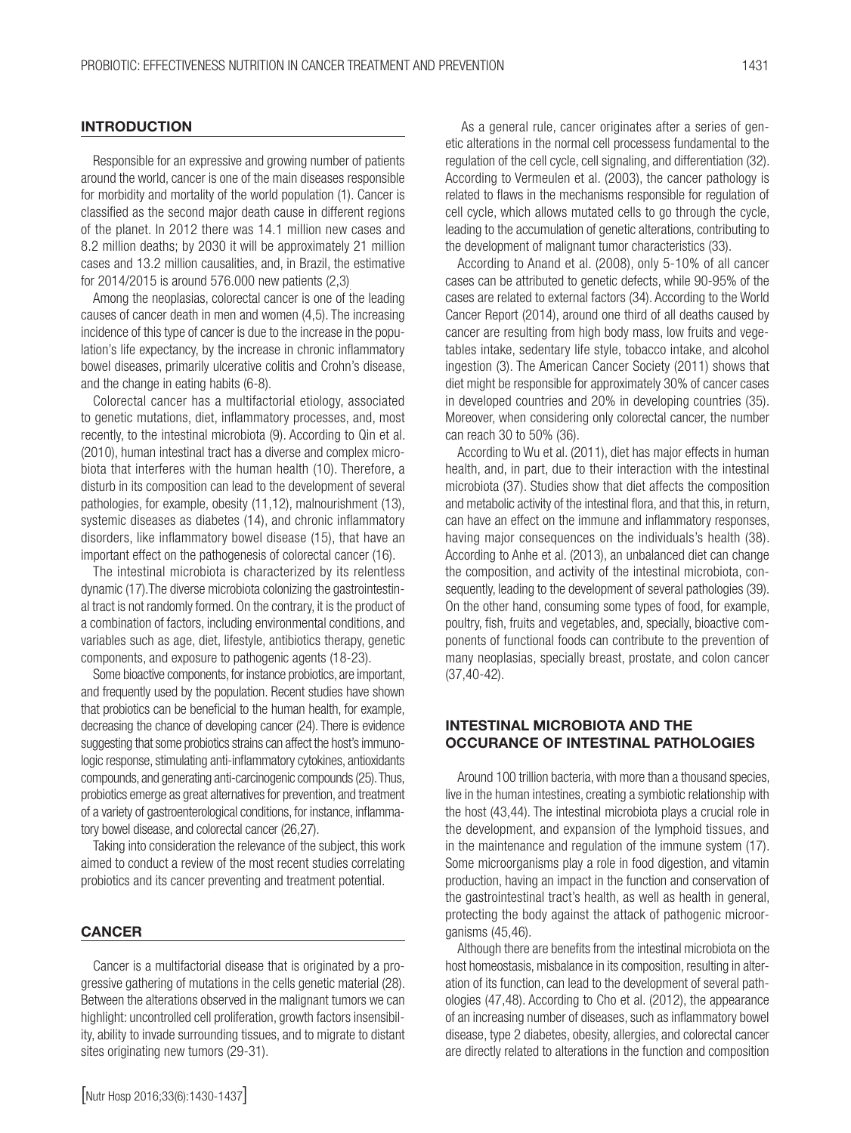#### **INTRODUCTION**

Responsible for an expressive and growing number of patients around the world, cancer is one of the main diseases responsible for morbidity and mortality of the world population (1). Cancer is classified as the second major death cause in different regions of the planet. In 2012 there was 14.1 million new cases and 8.2 million deaths; by 2030 it will be approximately 21 million cases and 13.2 million causalities, and, in Brazil, the estimative for 2014/2015 is around 576.000 new patients (2,3).

Among the neoplasias, colorectal cancer is one of the leading causes of cancer death in men and women (4,5). The increasing incidence of this type of cancer is due to the increase in the population's life expectancy, by the increase in chronic inflammatory bowel diseases, primarily ulcerative colitis and Crohn's disease, and the change in eating habits (6-8).

Colorectal cancer has a multifactorial etiology, associated to genetic mutations, diet, inflammatory processes, and, most recently, to the intestinal microbiota (9). According to Qin et al. (2010), human intestinal tract has a diverse and complex microbiota that interferes with the human health (10). Therefore, a disturb in its composition can lead to the development of several pathologies, for example, obesity (11,12), malnourishment (13), systemic diseases as diabetes (14), and chronic inflammatory disorders, like inflammatory bowel disease (15), that have an important effect on the pathogenesis of colorectal cancer (16).

The intestinal microbiota is characterized by its relentless dynamic (17).The diverse microbiota colonizing the gastrointestinal tract is not randomly formed. On the contrary, it is the product of a combination of factors, including environmental conditions, and variables such as age, diet, lifestyle, antibiotics therapy, genetic components, and exposure to pathogenic agents (18-23).

Some bioactive components, for instance probiotics, are important, and frequently used by the population. Recent studies have shown that probiotics can be beneficial to the human health, for example, decreasing the chance of developing cancer (24). There is evidence suggesting that some probiotics strains can affect the host's immunologic response, stimulating anti-inflammatory cytokines, antioxidants compounds, and generating anti-carcinogenic compounds (25). Thus, probiotics emerge as great alternatives for prevention, and treatment of a variety of gastroenterological conditions, for instance, inflammatory bowel disease, and colorectal cancer (26,27).

Taking into consideration the relevance of the subject, this work aimed to conduct a review of the most recent studies correlating probiotics and its cancer preventing and treatment potential.

#### **CANCER**

Cancer is a multifactorial disease that is originated by a progressive gathering of mutations in the cells genetic material (28). Between the alterations observed in the malignant tumors we can highlight: uncontrolled cell proliferation, growth factors insensibility, ability to invade surrounding tissues, and to migrate to distant sites originating new tumors (29-31).

[Nutr Hosp 2016;33(6):1430-1437]

 As a general rule, cancer originates after a series of genetic alterations in the normal cell processess fundamental to the regulation of the cell cycle, cell signaling, and differentiation (32). According to Vermeulen et al. (2003), the cancer pathology is related to flaws in the mechanisms responsible for regulation of cell cycle, which allows mutated cells to go through the cycle, leading to the accumulation of genetic alterations, contributing to the development of malignant tumor characteristics (33).

According to Anand et al. (2008), only 5-10% of all cancer cases can be attributed to genetic defects, while 90-95% of the cases are related to external factors (34). According to the World Cancer Report (2014), around one third of all deaths caused by cancer are resulting from high body mass, low fruits and vegetables intake, sedentary life style, tobacco intake, and alcohol ingestion (3). The American Cancer Society (2011) shows that diet might be responsible for approximately 30% of cancer cases in developed countries and 20% in developing countries (35). Moreover, when considering only colorectal cancer, the number can reach 30 to 50% (36).

According to Wu et al. (2011), diet has major effects in human health, and, in part, due to their interaction with the intestinal microbiota (37). Studies show that diet affects the composition and metabolic activity of the intestinal flora, and that this, in return, can have an effect on the immune and inflammatory responses, having major consequences on the individuals's health (38). According to Anhe et al. (2013), an unbalanced diet can change the composition, and activity of the intestinal microbiota, consequently, leading to the development of several pathologies (39). On the other hand, consuming some types of food, for example, poultry, fish, fruits and vegetables, and, specially, bioactive components of functional foods can contribute to the prevention of many neoplasias, specially breast, prostate, and colon cancer (37,40-42).

#### INTESTINAL MICROBIOTA AND THE OCCURANCE OF INTESTINAL PATHOLOGIES

Around 100 trillion bacteria, with more than a thousand species, live in the human intestines, creating a symbiotic relationship with the host (43,44). The intestinal microbiota plays a crucial role in the development, and expansion of the lymphoid tissues, and in the maintenance and regulation of the immune system (17). Some microorganisms play a role in food digestion, and vitamin production, having an impact in the function and conservation of the gastrointestinal tract's health, as well as health in general, protecting the body against the attack of pathogenic microorganisms (45,46).

Although there are benefits from the intestinal microbiota on the host homeostasis, misbalance in its composition, resulting in alteration of its function, can lead to the development of several pathologies (47,48). According to Cho et al. (2012), the appearance of an increasing number of diseases, such as inflammatory bowel disease, type 2 diabetes, obesity, allergies, and colorectal cancer are directly related to alterations in the function and composition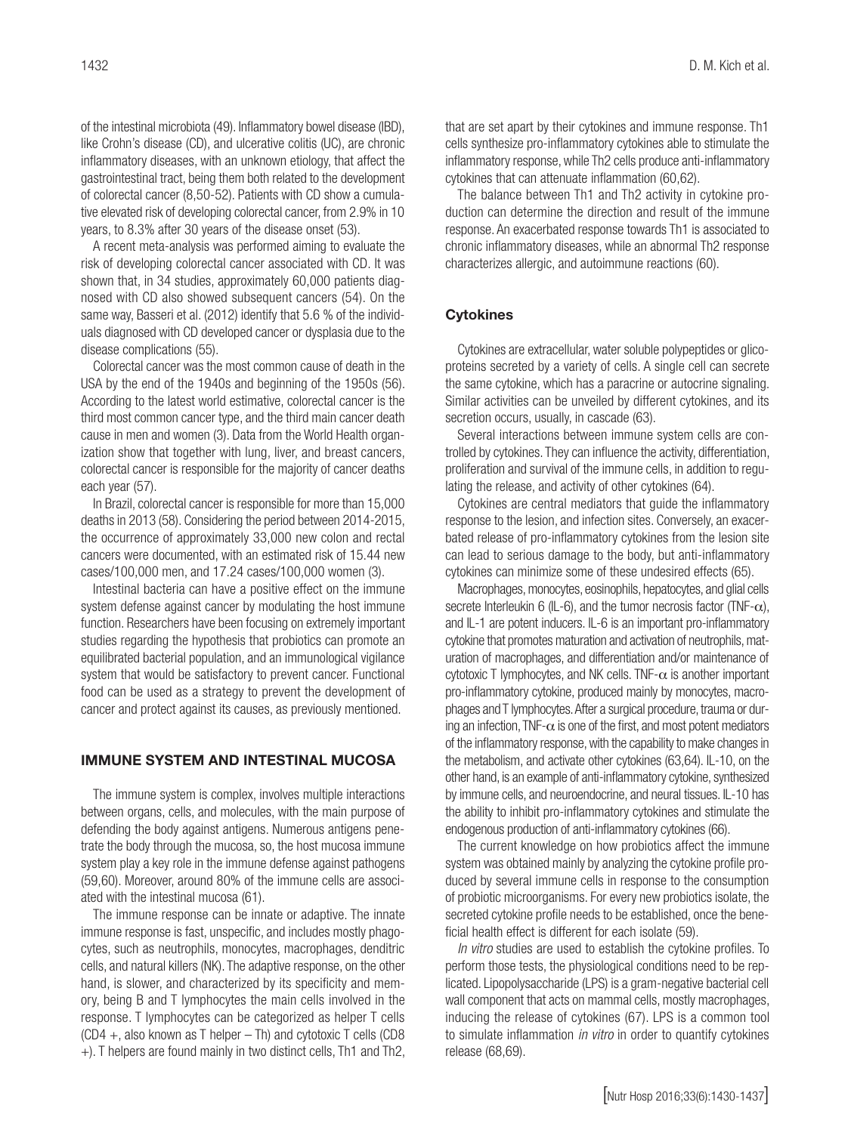of the intestinal microbiota (49). Inflammatory bowel disease (IBD), like Crohn's disease (CD), and ulcerative colitis (UC), are chronic inflammatory diseases, with an unknown etiology, that affect the gastrointestinal tract, being them both related to the development of colorectal cancer (8,50-52). Patients with CD show a cumulative elevated risk of developing colorectal cancer, from 2.9% in 10 years, to 8.3% after 30 years of the disease onset (53).

A recent meta-analysis was performed aiming to evaluate the risk of developing colorectal cancer associated with CD. It was shown that, in 34 studies, approximately 60,000 patients diagnosed with CD also showed subsequent cancers (54). On the same way, Basseri et al. (2012) identify that 5.6 % of the individuals diagnosed with CD developed cancer or dysplasia due to the disease complications (55).

Colorectal cancer was the most common cause of death in the USA by the end of the 1940s and beginning of the 1950s (56). According to the latest world estimative, colorectal cancer is the third most common cancer type, and the third main cancer death cause in men and women (3). Data from the World Health organization show that together with lung, liver, and breast cancers, colorectal cancer is responsible for the majority of cancer deaths each year (57).

In Brazil, colorectal cancer is responsible for more than 15,000 deaths in 2013 (58). Considering the period between 2014-2015, the occurrence of approximately 33,000 new colon and rectal cancers were documented, with an estimated risk of 15.44 new cases/100,000 men, and 17.24 cases/100,000 women (3).

Intestinal bacteria can have a positive effect on the immune system defense against cancer by modulating the host immune function. Researchers have been focusing on extremely important studies regarding the hypothesis that probiotics can promote an equilibrated bacterial population, and an immunological vigilance system that would be satisfactory to prevent cancer. Functional food can be used as a strategy to prevent the development of cancer and protect against its causes, as previously mentioned.

#### IMMUNE SYSTEM AND INTESTINAL MUCOSA

The immune system is complex, involves multiple interactions between organs, cells, and molecules, with the main purpose of defending the body against antigens. Numerous antigens penetrate the body through the mucosa, so, the host mucosa immune system play a key role in the immune defense against pathogens (59,60). Moreover, around 80% of the immune cells are associated with the intestinal mucosa (61).

The immune response can be innate or adaptive. The innate immune response is fast, unspecific, and includes mostly phagocytes, such as neutrophils, monocytes, macrophages, denditric cells, and natural killers (NK). The adaptive response, on the other hand, is slower, and characterized by its specificity and memory, being B and T lymphocytes the main cells involved in the response. T lymphocytes can be categorized as helper T cells (CD4 +, also known as T helper – Th) and cytotoxic T cells (CD8 +). T helpers are found mainly in two distinct cells, Th1 and Th2, that are set apart by their cytokines and immune response. Th1 cells synthesize pro-inflammatory cytokines able to stimulate the inflammatory response, while Th2 cells produce anti-inflammatory cytokines that can attenuate inflammation (60,62).

The balance between Th1 and Th2 activity in cytokine production can determine the direction and result of the immune response. An exacerbated response towards Th1 is associated to chronic inflammatory diseases, while an abnormal Th2 response characterizes allergic, and autoimmune reactions (60).

#### **Cytokines**

Cytokines are extracellular, water soluble polypeptides or glicoproteins secreted by a variety of cells. A single cell can secrete the same cytokine, which has a paracrine or autocrine signaling. Similar activities can be unveiled by different cytokines, and its secretion occurs, usually, in cascade (63).

Several interactions between immune system cells are controlled by cytokines. They can influence the activity, differentiation, proliferation and survival of the immune cells, in addition to regulating the release, and activity of other cytokines (64).

Cytokines are central mediators that guide the inflammatory response to the lesion, and infection sites. Conversely, an exacerbated release of pro-inflammatory cytokines from the lesion site can lead to serious damage to the body, but anti-inflammatory cytokines can minimize some of these undesired effects (65).

Macrophages, monocytes, eosinophils, hepatocytes, and glial cells secrete Interleukin 6 (IL-6), and the tumor necrosis factor (TNF- $\alpha$ ), and IL-1 are potent inducers. IL-6 is an important pro-inflammatory cytokine that promotes maturation and activation of neutrophils, maturation of macrophages, and differentiation and/or maintenance of cytotoxic T lymphocytes, and NK cells. TNF- $\alpha$  is another important pro-inflammatory cytokine, produced mainly by monocytes, macrophages and T lymphocytes. After a surgical procedure, trauma or during an infection, TNF- $\alpha$  is one of the first, and most potent mediators of the inflammatory response, with the capability to make changes in the metabolism, and activate other cytokines (63,64). IL-10, on the other hand, is an example of anti-inflammatory cytokine, synthesized by immune cells, and neuroendocrine, and neural tissues. IL-10 has the ability to inhibit pro-inflammatory cytokines and stimulate the endogenous production of anti-inflammatory cytokines (66).

The current knowledge on how probiotics affect the immune system was obtained mainly by analyzing the cytokine profile produced by several immune cells in response to the consumption of probiotic microorganisms. For every new probiotics isolate, the secreted cytokine profile needs to be established, once the beneficial health effect is different for each isolate (59).

*In vitro* studies are used to establish the cytokine profiles. To perform those tests, the physiological conditions need to be replicated. Lipopolysaccharide (LPS) is a gram-negative bacterial cell wall component that acts on mammal cells, mostly macrophages, inducing the release of cytokines (67). LPS is a common tool to simulate inflammation *in vitro* in order to quantify cytokines release (68,69).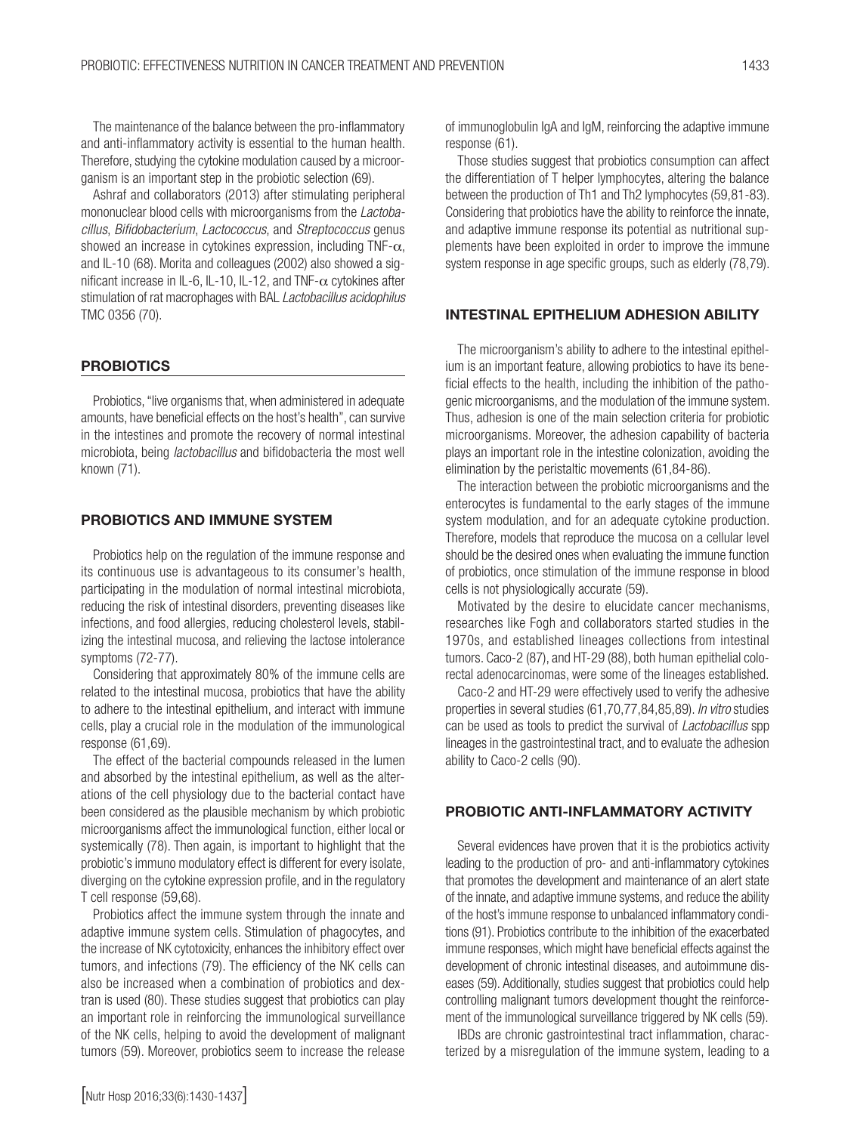The maintenance of the balance between the pro-inflammatory and anti-inflammatory activity is essential to the human health. Therefore, studying the cytokine modulation caused by a microorganism is an important step in the probiotic selection (69).

Ashraf and collaborators (2013) after stimulating peripheral mononuclear blood cells with microorganisms from the *Lactobacillus*, *Bifidobacterium*, *Lactococcus*, and *Streptococcus* genus showed an increase in cytokines expression, including TNF- $\alpha$ , and IL-10 (68). Morita and colleagues (2002) also showed a significant increase in IL-6, IL-10, IL-12, and TNF- $\alpha$  cytokines after stimulation of rat macrophages with BAL *Lactobacillus acidophilus* TMC 0356 (70).

#### **PROBIOTICS**

Probiotics, "live organisms that, when administered in adequate amounts, have beneficial effects on the host's health", can survive in the intestines and promote the recovery of normal intestinal microbiota, being *lactobacillus* and bifidobacteria the most well known (71).

#### PROBIOTICS AND IMMUNE SYSTEM

Probiotics help on the regulation of the immune response and its continuous use is advantageous to its consumer's health, participating in the modulation of normal intestinal microbiota, reducing the risk of intestinal disorders, preventing diseases like infections, and food allergies, reducing cholesterol levels, stabilizing the intestinal mucosa, and relieving the lactose intolerance symptoms (72-77).

Considering that approximately 80% of the immune cells are related to the intestinal mucosa, probiotics that have the ability to adhere to the intestinal epithelium, and interact with immune cells, play a crucial role in the modulation of the immunological response (61,69).

The effect of the bacterial compounds released in the lumen and absorbed by the intestinal epithelium, as well as the alterations of the cell physiology due to the bacterial contact have been considered as the plausible mechanism by which probiotic microorganisms affect the immunological function, either local or systemically (78). Then again, is important to highlight that the probiotic's immuno modulatory effect is different for every isolate, diverging on the cytokine expression profile, and in the regulatory T cell response (59,68).

Probiotics affect the immune system through the innate and adaptive immune system cells. Stimulation of phagocytes, and the increase of NK cytotoxicity, enhances the inhibitory effect over tumors, and infections (79). The efficiency of the NK cells can also be increased when a combination of probiotics and dextran is used (80). These studies suggest that probiotics can play an important role in reinforcing the immunological surveillance of the NK cells, helping to avoid the development of malignant tumors (59). Moreover, probiotics seem to increase the release

of immunoglobulin IgA and IgM, reinforcing the adaptive immune response (61).

Those studies suggest that probiotics consumption can affect the differentiation of T helper lymphocytes, altering the balance between the production of Th1 and Th2 lymphocytes (59,81-83). Considering that probiotics have the ability to reinforce the innate, and adaptive immune response its potential as nutritional supplements have been exploited in order to improve the immune system response in age specific groups, such as elderly (78,79).

#### INTESTINAL EPITHELIUM ADHESION ABILITY

The microorganism's ability to adhere to the intestinal epithelium is an important feature, allowing probiotics to have its beneficial effects to the health, including the inhibition of the pathogenic microorganisms, and the modulation of the immune system. Thus, adhesion is one of the main selection criteria for probiotic microorganisms. Moreover, the adhesion capability of bacteria plays an important role in the intestine colonization, avoiding the elimination by the peristaltic movements (61,84-86).

The interaction between the probiotic microorganisms and the enterocytes is fundamental to the early stages of the immune system modulation, and for an adequate cytokine production. Therefore, models that reproduce the mucosa on a cellular level should be the desired ones when evaluating the immune function of probiotics, once stimulation of the immune response in blood cells is not physiologically accurate (59).

Motivated by the desire to elucidate cancer mechanisms, researches like Fogh and collaborators started studies in the 1970s, and established lineages collections from intestinal tumors. Caco-2 (87), and HT-29 (88), both human epithelial colorectal adenocarcinomas, were some of the lineages established.

Caco-2 and HT-29 were effectively used to verify the adhesive properties in several studies (61,70,77,84,85,89). *In vitro* studies can be used as tools to predict the survival of *Lactobacillus* spp lineages in the gastrointestinal tract, and to evaluate the adhesion ability to Caco-2 cells (90).

#### PROBIOTIC ANTI-INFLAMMATORY ACTIVITY

Several evidences have proven that it is the probiotics activity leading to the production of pro- and anti-inflammatory cytokines that promotes the development and maintenance of an alert state of the innate, and adaptive immune systems, and reduce the ability of the host's immune response to unbalanced inflammatory conditions (91). Probiotics contribute to the inhibition of the exacerbated immune responses, which might have beneficial effects against the development of chronic intestinal diseases, and autoimmune diseases (59). Additionally, studies suggest that probiotics could help controlling malignant tumors development thought the reinforcement of the immunological surveillance triggered by NK cells (59).

IBDs are chronic gastrointestinal tract inflammation, characterized by a misregulation of the immune system, leading to a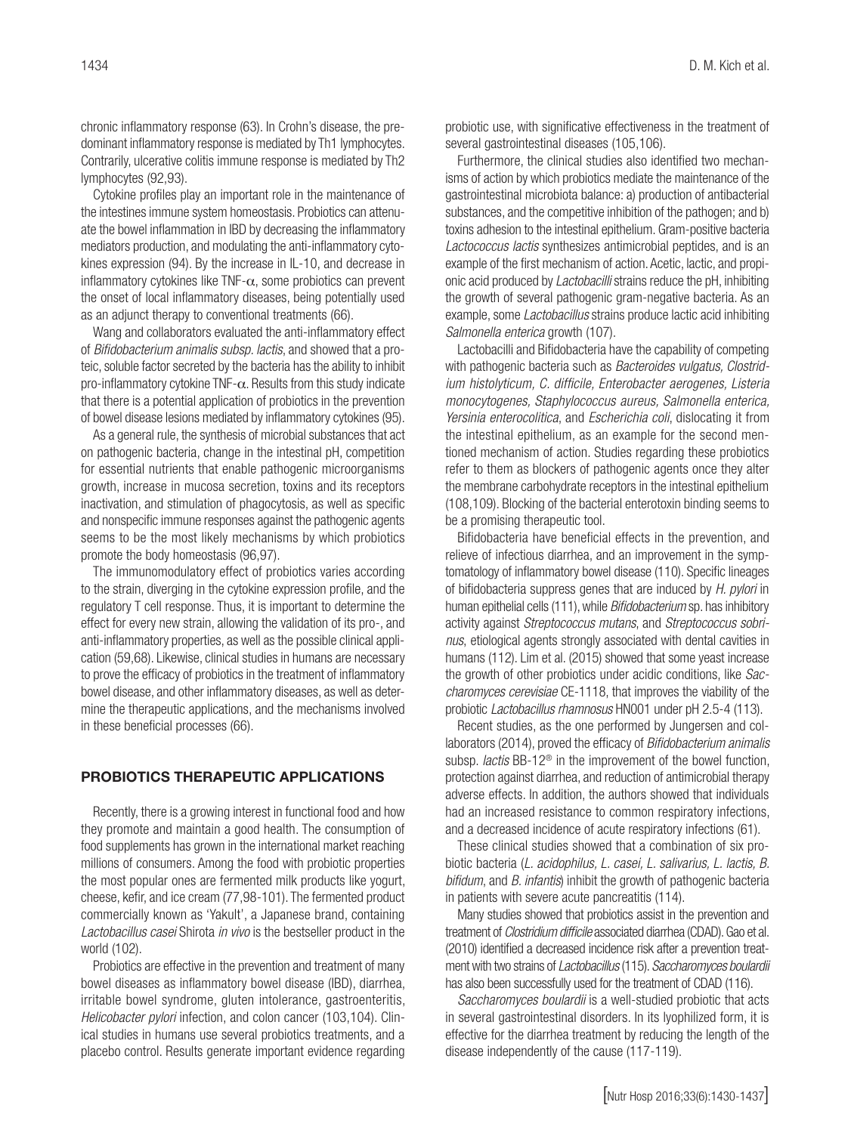chronic inflammatory response (63). In Crohn's disease, the predominant inflammatory response is mediated by Th1 lymphocytes. Contrarily, ulcerative colitis immune response is mediated by Th2 lymphocytes (92,93).

Cytokine profiles play an important role in the maintenance of the intestines immune system homeostasis. Probiotics can attenuate the bowel inflammation in IBD by decreasing the inflammatory mediators production, and modulating the anti-inflammatory cytokines expression (94). By the increase in IL-10, and decrease in inflammatory cytokines like TNF- $\alpha$ , some probiotics can prevent the onset of local inflammatory diseases, being potentially used as an adjunct therapy to conventional treatments (66).

Wang and collaborators evaluated the anti-inflammatory effect of *Bifidobacterium animalis subsp. lactis*, and showed that a proteic, soluble factor secreted by the bacteria has the ability to inhibit pro-inflammatory cytokine TNF-α. Results from this study indicate that there is a potential application of probiotics in the prevention of bowel disease lesions mediated by inflammatory cytokines (95).

As a general rule, the synthesis of microbial substances that act on pathogenic bacteria, change in the intestinal pH, competition for essential nutrients that enable pathogenic microorganisms growth, increase in mucosa secretion, toxins and its receptors inactivation, and stimulation of phagocytosis, as well as specific and nonspecific immune responses against the pathogenic agents seems to be the most likely mechanisms by which probiotics promote the body homeostasis (96,97).

The immunomodulatory effect of probiotics varies according to the strain, diverging in the cytokine expression profile, and the regulatory T cell response. Thus, it is important to determine the effect for every new strain, allowing the validation of its pro-, and anti-inflammatory properties, as well as the possible clinical application (59,68). Likewise, clinical studies in humans are necessary to prove the efficacy of probiotics in the treatment of inflammatory bowel disease, and other inflammatory diseases, as well as determine the therapeutic applications, and the mechanisms involved in these beneficial processes (66).

#### PROBIOTICS THERAPEUTIC APPLICATIONS

Recently, there is a growing interest in functional food and how they promote and maintain a good health. The consumption of food supplements has grown in the international market reaching millions of consumers. Among the food with probiotic properties the most popular ones are fermented milk products like yogurt, cheese, kefir, and ice cream (77,98-101). The fermented product commercially known as 'Yakult', a Japanese brand, containing *Lactobacillus casei* Shirota *in vivo* is the bestseller product in the world (102).

Probiotics are effective in the prevention and treatment of many bowel diseases as inflammatory bowel disease (IBD), diarrhea, irritable bowel syndrome, gluten intolerance, gastroenteritis, *Helicobacter pylori* infection, and colon cancer (103,104). Clinical studies in humans use several probiotics treatments, and a placebo control. Results generate important evidence regarding

probiotic use, with significative effectiveness in the treatment of several gastrointestinal diseases (105,106).

Furthermore, the clinical studies also identified two mechanisms of action by which probiotics mediate the maintenance of the gastrointestinal microbiota balance: a) production of antibacterial substances, and the competitive inhibition of the pathogen; and b) toxins adhesion to the intestinal epithelium. Gram-positive bacteria *Lactococcus lactis* synthesizes antimicrobial peptides, and is an example of the first mechanism of action. Acetic, lactic, and propionic acid produced by *Lactobacilli* strains reduce the pH, inhibiting the growth of several pathogenic gram-negative bacteria. As an example, some *Lactobacillus* strains produce lactic acid inhibiting *Salmonella enterica* growth (107).

Lactobacilli and Bifidobacteria have the capability of competing with pathogenic bacteria such as *Bacteroides vulgatus, Clostridium histolyticum, C. difficile, Enterobacter aerogenes, Listeria monocytogenes, Staphylococcus aureus, Salmonella enterica, Yersinia enterocolitica*, and *Escherichia coli*, dislocating it from the intestinal epithelium, as an example for the second mentioned mechanism of action. Studies regarding these probiotics refer to them as blockers of pathogenic agents once they alter the membrane carbohydrate receptors in the intestinal epithelium (108,109). Blocking of the bacterial enterotoxin binding seems to be a promising therapeutic tool.

Bifidobacteria have beneficial effects in the prevention, and relieve of infectious diarrhea, and an improvement in the symptomatology of inflammatory bowel disease (110). Specific lineages of bifidobacteria suppress genes that are induced by *H. pylori* in human epithelial cells (111), while *Bifidobacterium* sp. has inhibitory activity against *Streptococcus mutans*, and *Streptococcus sobrinus*, etiological agents strongly associated with dental cavities in humans (112). Lim et al. (2015) showed that some yeast increase the growth of other probiotics under acidic conditions, like *Saccharomyces cerevisiae* CE-1118, that improves the viability of the probiotic *Lactobacillus rhamnosus* HN001 under pH 2.5-4 (113).

Recent studies, as the one performed by Jungersen and collaborators (2014), proved the efficacy of *Bifidobacterium animalis*  subsp. *lactis* BB-12® in the improvement of the bowel function, protection against diarrhea, and reduction of antimicrobial therapy adverse effects. In addition, the authors showed that individuals had an increased resistance to common respiratory infections, and a decreased incidence of acute respiratory infections (61).

These clinical studies showed that a combination of six probiotic bacteria (*L. acidophilus, L. casei, L. salivarius, L. lactis, B. bifidum*, and *B. infantis*) inhibit the growth of pathogenic bacteria in patients with severe acute pancreatitis (114).

Many studies showed that probiotics assist in the prevention and treatment of *Clostridium difficile* associated diarrhea (CDAD). Gao et al. (2010) identified a decreased incidence risk after a prevention treatment with two strains of *Lactobacillus* (115). *Saccharomyces boulardii* has also been successfully used for the treatment of CDAD (116).

*Saccharomyces boulardii* is a well-studied probiotic that acts in several gastrointestinal disorders. In its lyophilized form, it is effective for the diarrhea treatment by reducing the length of the disease independently of the cause (117-119).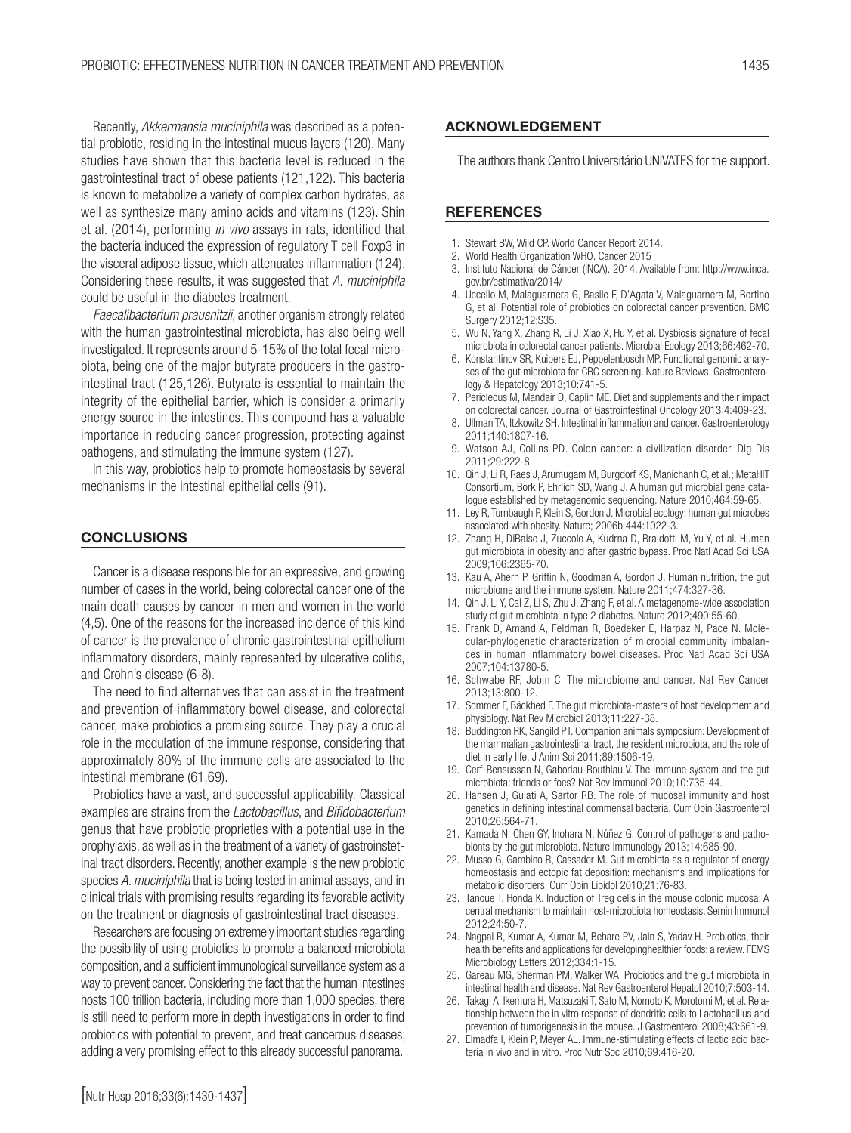Recently, *Akkermansia muciniphila* was described as a potential probiotic, residing in the intestinal mucus layers (120). Many studies have shown that this bacteria level is reduced in the gastrointestinal tract of obese patients (121,122). This bacteria is known to metabolize a variety of complex carbon hydrates, as well as synthesize many amino acids and vitamins (123). Shin et al. (2014), performing *in vivo* assays in rats, identified that the bacteria induced the expression of regulatory T cell Foxp3 in the visceral adipose tissue, which attenuates inflammation (124). Considering these results, it was suggested that *A. muciniphila* could be useful in the diabetes treatment.

*Faecalibacterium prausnitzii*, another organism strongly related with the human gastrointestinal microbiota, has also being well investigated. It represents around 5-15% of the total fecal microbiota, being one of the major butyrate producers in the gastrointestinal tract (125,126). Butyrate is essential to maintain the integrity of the epithelial barrier, which is consider a primarily energy source in the intestines. This compound has a valuable importance in reducing cancer progression, protecting against pathogens, and stimulating the immune system (127).

In this way, probiotics help to promote homeostasis by several mechanisms in the intestinal epithelial cells (91).

#### **CONCLUSIONS**

Cancer is a disease responsible for an expressive, and growing number of cases in the world, being colorectal cancer one of the main death causes by cancer in men and women in the world (4,5). One of the reasons for the increased incidence of this kind of cancer is the prevalence of chronic gastrointestinal epithelium inflammatory disorders, mainly represented by ulcerative colitis, and Crohn's disease (6-8).

The need to find alternatives that can assist in the treatment and prevention of inflammatory bowel disease, and colorectal cancer, make probiotics a promising source. They play a crucial role in the modulation of the immune response, considering that approximately 80% of the immune cells are associated to the intestinal membrane (61,69).

Probiotics have a vast, and successful applicability. Classical examples are strains from the *Lactobacillus*, and *Bifidobacterium* genus that have probiotic proprieties with a potential use in the prophylaxis, as well as in the treatment of a variety of gastroinstetinal tract disorders. Recently, another example is the new probiotic species *A. muciniphila* that is being tested in animal assays, and in clinical trials with promising results regarding its favorable activity on the treatment or diagnosis of gastrointestinal tract diseases.

Researchers are focusing on extremely important studies regarding the possibility of using probiotics to promote a balanced microbiota composition, and a sufficient immunological surveillance system as a way to prevent cancer. Considering the fact that the human intestines hosts 100 trillion bacteria, including more than 1,000 species, there is still need to perform more in depth investigations in order to find probiotics with potential to prevent, and treat cancerous diseases, adding a very promising effect to this already successful panorama.

#### ACKNOWLEDGEMENT

The authors thank Centro Universitário UNIVATES for the support.

#### **REFERENCES**

- 1. Stewart BW, Wild CP. World Cancer Report 2014.
- 2. World Health Organization WHO. Cancer 2015
- 3. Instituto Nacional de Cáncer (INCA). 2014. Available from: http://www.inca. gov.br/estimativa/2014/
- 4. Uccello M, Malaguarnera G, Basile F, D'Agata V, Malaguarnera M, Bertino G, et al. Potential role of probiotics on colorectal cancer prevention. BMC Surgery 2012;12:S35.
- 5. Wu N, Yang X, Zhang R, Li J, Xiao X, Hu Y, et al. Dysbiosis signature of fecal microbiota in colorectal cancer patients. Microbial Ecology 2013;66:462-70.
- 6. Konstantinov SR, Kuipers EJ, Peppelenbosch MP. Functional genomic analyses of the gut microbiota for CRC screening. Nature Reviews. Gastroenterology & Hepatology 2013;10:741-5.
- 7. Pericleous M, Mandair D, Caplin ME. Diet and supplements and their impact on colorectal cancer. Journal of Gastrointestinal Oncology 2013;4:409-23.
- 8. Ullman TA, Itzkowitz SH. Intestinal inflammation and cancer. Gastroenterology 2011;140:1807-16.
- 9. Watson AJ, Collins PD. Colon cancer: a civilization disorder. Dig Dis 2011;29:222-8.
- 10. Qin J, Li R, Raes J, Arumugam M, Burgdorf KS, Manichanh C, et al.; MetaHIT Consortium, Bork P, Ehrlich SD, Wang J. A human gut microbial gene catalogue established by metagenomic sequencing. Nature 2010;464:59-65.
- 11. Ley R, Turnbaugh P, Klein S, Gordon J. Microbial ecology: human gut microbes associated with obesity. Nature; 2006b 444:1022-3.
- 12. Zhang H, DiBaise J, Zuccolo A, Kudrna D, Braidotti M, Yu Y, et al. Human gut microbiota in obesity and after gastric bypass. Proc Natl Acad Sci USA 2009;106:2365-70.
- 13. Kau A, Ahern P, Griffin N, Goodman A, Gordon J. Human nutrition, the gut microbiome and the immune system. Nature 2011;474:327-36.
- 14. Qin J, Li Y, Cai Z, Li S, Zhu J, Zhang F, et al. A metagenome-wide association study of gut microbiota in type 2 diabetes. Nature 2012;490:55-60.
- 15. Frank D, Amand A, Feldman R, Boedeker E, Harpaz N, Pace N. Molecular-phylogenetic characterization of microbial community imbalances in human inflammatory bowel diseases. Proc Natl Acad Sci USA 2007;104:13780-5.
- 16. Schwabe RF, Jobin C. The microbiome and cancer. Nat Rev Cancer 2013;13:800-12.
- 17. Sommer F, Bäckhed F. The gut microbiota-masters of host development and physiology. Nat Rev Microbiol 2013;11:227-38.
- 18. Buddington RK, Sangild PT. Companion animals symposium: Development of the mammalian gastrointestinal tract, the resident microbiota, and the role of diet in early life. J Anim Sci 2011;89:1506-19.
- 19. Cerf-Bensussan N, Gaboriau-Routhiau V. The immune system and the gut microbiota: friends or foes? Nat Rev Immunol 2010;10:735-44.
- 20. Hansen J, Gulati A, Sartor RB. The role of mucosal immunity and host genetics in defining intestinal commensal bacteria. Curr Opin Gastroenterol 2010;26:564-71.
- 21. Kamada N, Chen GY, Inohara N, Núñez G. Control of pathogens and pathobionts by the gut microbiota. Nature Immunology 2013;14:685-90.
- 22. Musso G, Gambino R, Cassader M. Gut microbiota as a regulator of energy homeostasis and ectopic fat deposition: mechanisms and implications for metabolic disorders. Curr Opin Lipidol 2010;21:76-83.
- 23. Tanoue T, Honda K. Induction of Treg cells in the mouse colonic mucosa: A central mechanism to maintain host-microbiota homeostasis. Semin Immunol 2012;24:50-7.
- 24. Nagpal R, Kumar A, Kumar M, Behare PV, Jain S, Yadav H. Probiotics, their health benefits and applications for developinghealthier foods: a review. FEMS Microbiology Letters 2012;334:1-15.
- 25. Gareau MG, Sherman PM, Walker WA. Probiotics and the gut microbiota in intestinal health and disease. Nat Rev Gastroenterol Hepatol 2010;7:503-14.
- 26. Takagi A, Ikemura H, Matsuzaki T, Sato M, Nomoto K, Morotomi M, et al. Relationship between the in vitro response of dendritic cells to Lactobacillus and prevention of tumorigenesis in the mouse. J Gastroenterol 2008;43:661-9.
- 27. Elmadfa I, Klein P, Meyer AL. Immune-stimulating effects of lactic acid bacteria in vivo and in vitro. Proc Nutr Soc 2010;69:416-20.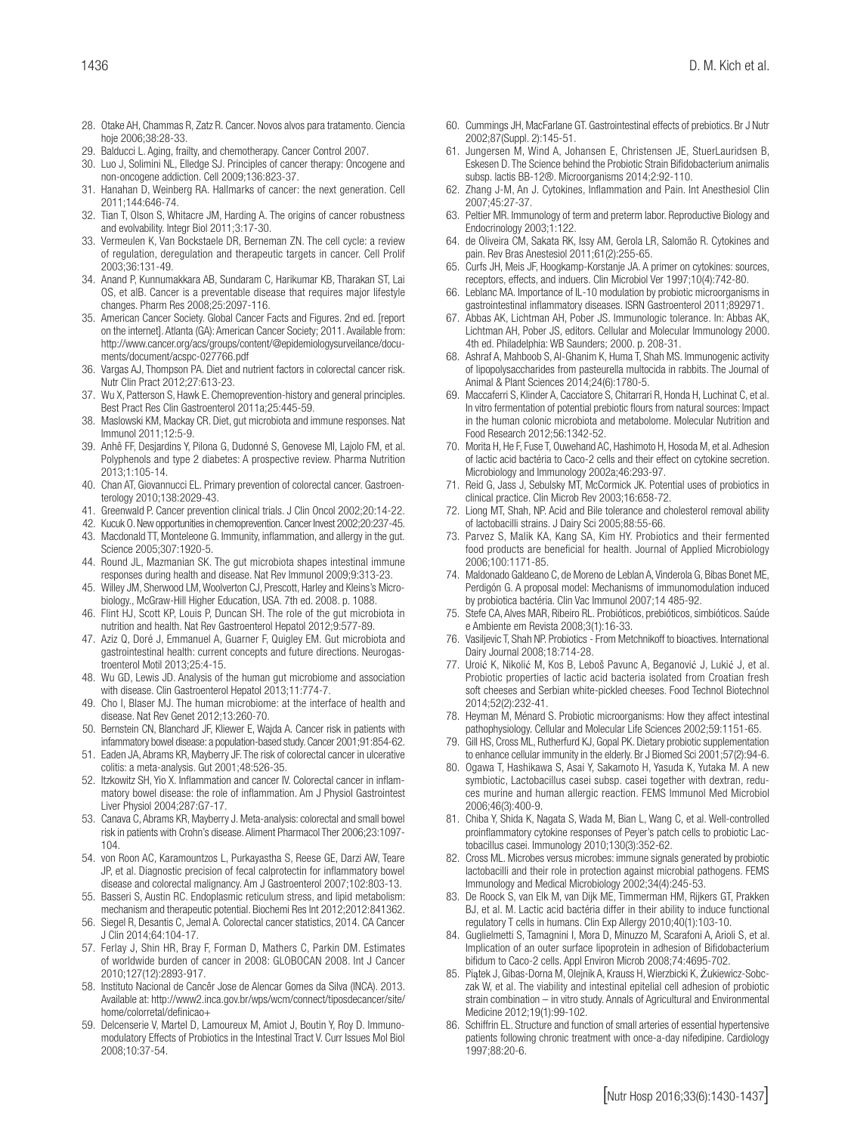- 28. Otake AH, Chammas R, Zatz R. Cancer. Novos alvos para tratamento. Ciencia hoje 2006;38:28-33.
- 29. Balducci L. Aging, frailty, and chemotherapy. Cancer Control 2007.
- 30. Luo J, Solimini NL, Elledge SJ. Principles of cancer therapy: Oncogene and non-oncogene addiction. Cell 2009;136:823-37.
- 31. Hanahan D, Weinberg RA. Hallmarks of cancer: the next generation. Cell 2011;144:646-74.
- 32. Tian T, Olson S, Whitacre JM, Harding A. The origins of cancer robustness and evolvability. Integr Biol 2011;3:17-30.
- 33. Vermeulen K, Van Bockstaele DR, Berneman ZN. The cell cycle: a review of regulation, deregulation and therapeutic targets in cancer. Cell Prolif 2003;36:131-49.
- 34. Anand P, Kunnumakkara AB, Sundaram C, Harikumar KB, Tharakan ST, Lai OS, et alB. Cancer is a preventable disease that requires major lifestyle changes. Pharm Res 2008;25:2097-116.
- 35. American Cancer Society. Global Cancer Facts and Figures. 2nd ed. [report on the internet]. Atlanta (GA): American Cancer Society; 2011. Available from: http://www.cancer.org/acs/groups/content/@epidemiologysurveilance/documents/document/acspc-027766.pdf
- 36. Vargas AJ, Thompson PA. Diet and nutrient factors in colorectal cancer risk. Nutr Clin Pract 2012;27:613-23.
- 37. Wu X, Patterson S, Hawk E. Chemoprevention-history and general principles. Best Pract Res Clin Gastroenterol 2011a;25:445-59.
- 38. Maslowski KM, Mackay CR. Diet, gut microbiota and immune responses. Nat Immunol 2011;12:5-9.
- 39. Anhê FF, Desjardins Y, Pilona G, Dudonné S, Genovese MI, Lajolo FM, et al. Polyphenols and type 2 diabetes: A prospective review. Pharma Nutrition 2013;1:105-14.
- 40. Chan AT, Giovannucci EL. Primary prevention of colorectal cancer. Gastroenterology 2010;138:2029-43.
- 41. Greenwald P. Cancer prevention clinical trials. J Clin Oncol 2002;20:14-22.
- 42. Kucuk O. New opportunities in chemoprevention. Cancer Invest 2002;20:237-45.
- 43. Macdonald TT, Monteleone G. Immunity, inflammation, and allergy in the gut. Science 2005;307:1920-5.
- 44. Round JL, Mazmanian SK. The gut microbiota shapes intestinal immune responses during health and disease. Nat Rev Immunol 2009;9:313-23.
- 45. Willey JM, Sherwood LM, Woolverton CJ, Prescott, Harley and Kleins's Microbiology., McGraw-Hill Higher Education, USA. 7th ed. 2008. p. 1088.
- 46. Flint HJ, Scott KP, Louis P, Duncan SH. The role of the gut microbiota in nutrition and health. Nat Rev Gastroenterol Hepatol 2012;9:577-89.
- 47. Aziz Q, Doré J, Emmanuel A, Guarner F, Quigley EM. Gut microbiota and gastrointestinal health: current concepts and future directions. Neurogastroenterol Motil 2013;25:4-15.
- 48. Wu GD, Lewis JD. Analysis of the human gut microbiome and association with disease. Clin Gastroenterol Hepatol 2013;11:774-7.
- 49. Cho I, Blaser MJ. The human microbiome: at the interface of health and disease. Nat Rev Genet 2012;13:260-70.
- 50. Bernstein CN, Blanchard JF, Kliewer E, Wajda A. Cancer risk in patients with infammatory bowel disease: a population-based study. Cancer 2001;91:854-62.
- 51. Eaden JA, Abrams KR, Mayberry JF. The risk of colorectal cancer in ulcerative colitis: a meta-analysis. Gut 2001;48:526-35.
- 52. Itzkowitz SH, Yio X. Inflammation and cancer IV. Colorectal cancer in inflammatory bowel disease: the role of inflammation. Am J Physiol Gastrointest Liver Physiol 2004;287:G7-17.
- 53. Canava C, Abrams KR, Mayberry J. Meta-analysis: colorectal and small bowel risk in patients with Crohn's disease. Aliment Pharmacol Ther 2006;23:1097- 104.
- 54. von Roon AC, Karamountzos L, Purkayastha S, Reese GE, Darzi AW, Teare JP, et al. Diagnostic precision of fecal calprotectin for inflammatory bowel disease and colorectal malignancy. Am J Gastroenterol 2007;102:803-13.
- 55. Basseri S, Austin RC. Endoplasmic reticulum stress, and lipid metabolism: mechanism and therapeutic potential. Biochemi Res Int 2012;2012:841362.
- 56. Siegel R, Desantis C, Jemal A. Colorectal cancer statistics, 2014. CA Cancer J Clin 2014;64:104-17.
- 57. Ferlay J, Shin HR, Bray F, Forman D, Mathers C, Parkin DM. Estimates of worldwide burden of cancer in 2008: GLOBOCAN 2008. Int J Cancer 2010;127(12):2893-917.
- 58. Instituto Nacional de Cancêr Jose de Alencar Gomes da Silva (INCA). 2013. Available at: http://www2.inca.gov.br/wps/wcm/connect/tiposdecancer/site/ home/colorretal/definicao+
- 59. Delcenserie V, Martel D, Lamoureux M, Amiot J, Boutin Y, Roy D. Immunomodulatory Effects of Probiotics in the Intestinal Tract V. Curr Issues Mol Biol 2008;10:37-54.
- 60. Cummings JH, MacFarlane GT. Gastrointestinal effects of prebiotics. Br J Nutr 2002;87(Suppl. 2):145-51.
- Jungersen M, Wind A, Johansen E, Christensen JE, StuerLauridsen B, Eskesen D. The Science behind the Probiotic Strain Bifidobacterium animalis subsp. lactis BB-12®. Microorganisms 2014;2:92-110.
- 62. Zhang J-M, An J. Cytokines, Inflammation and Pain. Int Anesthesiol Clin 2007;45:27-37.
- 63. Peltier MR. Immunology of term and preterm labor. Reproductive Biology and Endocrinology 2003;1:122.
- 64. de Oliveira CM, Sakata RK, Issy AM, Gerola LR, Salomão R. Cytokines and pain. Rev Bras Anestesiol 2011;61(2):255-65.
- 65. Curfs JH, Meis JF, Hoogkamp-Korstanje JA. A primer on cytokines: sources, receptors, effects, and induers. Clin Microbiol Ver 1997;10(4):742-80.
- 66. Leblanc MA. Importance of IL-10 modulation by probiotic microorganisms in gastrointestinal inflammatory diseases. ISRN Gastroenterol 2011;892971.
- 67. Abbas AK, Lichtman AH, Pober JS. Immunologic tolerance. In: Abbas AK, Lichtman AH, Pober JS, editors. Cellular and Molecular Immunology 2000. 4th ed. Philadelphia: WB Saunders; 2000. p. 208-31.
- 68. Ashraf A, Mahboob S, Al-Ghanim K, Huma T, Shah MS. Immunogenic activity of lipopolysaccharides from pasteurella multocida in rabbits. The Journal of Animal & Plant Sciences 2014;24(6):1780-5.
- 69. Maccaferri S, Klinder A, Cacciatore S, Chitarrari R, Honda H, Luchinat C, et al. In vitro fermentation of potential prebiotic flours from natural sources: Impact in the human colonic microbiota and metabolome. Molecular Nutrition and Food Research 2012;56:1342-52.
- 70. Morita H, He F, Fuse T, Ouwehand AC, Hashimoto H, Hosoda M, et al. Adhesion of lactic acid bactéria to Caco-2 cells and their effect on cytokine secretion. Microbiology and Immunology 2002a;46:293-97.
- 71. Reid G, Jass J, Sebulsky MT, McCormick JK. Potential uses of probiotics in clinical practice. Clin Microb Rev 2003;16:658-72.
- 72. Liong MT, Shah, NP. Acid and Bile tolerance and cholesterol removal ability of lactobacilli strains. J Dairy Sci 2005;88:55-66.
- 73. Parvez S, Malik KA, Kang SA, Kim HY. Probiotics and their fermented food products are beneficial for health. Journal of Applied Microbiology 2006;100:1171-85.
- 74. Maldonado Galdeano C, de Moreno de Leblan A, Vinderola G, Bibas Bonet ME, Perdigón G. A proposal model: Mechanisms of immunomodulation induced by probiotica bactéria. Clin Vac Immunol 2007;14 485-92.
- 75. Stefe CA, Alves MAR, Ribeiro RL. Probióticos, prebióticos, simbióticos. Saúde e Ambiente em Revista 2008;3(1):16-33.
- 76. Vasiljevic T, Shah NP. Probiotics From Metchnikoff to bioactives. International Dairy Journal 2008;18:714-28.
- 77. Uroić K, Nikolić M, Kos B, Leboš Pavunc A, Beganović J, Lukić J, et al. Probiotic properties of lactic acid bacteria isolated from Croatian fresh soft cheeses and Serbian white-pickled cheeses. Food Technol Biotechnol 2014;52(2):232-41.
- 78. Heyman M, Ménard S. Probiotic microorganisms: How they affect intestinal pathophysiology. Cellular and Molecular Life Sciences 2002;59:1151-65.
- 79. Gill HS, Cross ML, Rutherfurd KJ, Gopal PK. Dietary probiotic supplementation to enhance cellular immunity in the elderly. Br J Biomed Sci 2001;57(2):94-6.
- 80. Ogawa T, Hashikawa S, Asai Y, Sakamoto H, Yasuda K, Yutaka M. A new symbiotic, Lactobacillus casei subsp. casei together with dextran, reduces murine and human allergic reaction. FEMS Immunol Med Microbiol 2006;46(3):400-9.
- 81. Chiba Y, Shida K, Nagata S, Wada M, Bian L, Wang C, et al. Well-controlled proinflammatory cytokine responses of Peyer's patch cells to probiotic Lactobacillus casei. Immunology 2010;130(3):352-62.
- 82. Cross ML. Microbes versus microbes: immune signals generated by probiotic lactobacilli and their role in protection against microbial pathogens. FEMS Immunology and Medical Microbiology 2002;34(4):245-53.
- 83. De Roock S, van Elk M, van Dijk ME, Timmerman HM, Rijkers GT, Prakken BJ, et al. M. Lactic acid bactéria differ in their ability to induce functional regulatory T cells in humans. Clin Exp Allergy 2010;40(1):103-10.
- 84. Guglielmetti S, Tamagnini I, Mora D, Minuzzo M, Scarafoni A, Arioli S, et al. Implication of an outer surface lipoprotein in adhesion of Bifidobacterium bifidum to Caco-2 cells. Appl Environ Microb 2008;74:4695-702.
- 85. Piątek J, Gibas-Dorna M, Olejnik A, Krauss H, Wierzbicki K, Żukiewicz-Sobczak W, et al. The viability and intestinal epitelial cell adhesion of probiotic strain combination – in vitro study. Annals of Agricultural and Environmental Medicine 2012;19(1):99-102.
- 86. Schiffrin EL. Structure and function of small arteries of essential hypertensive patients following chronic treatment with once-a-day nifedipine. Cardiology 1997;88:20-6.